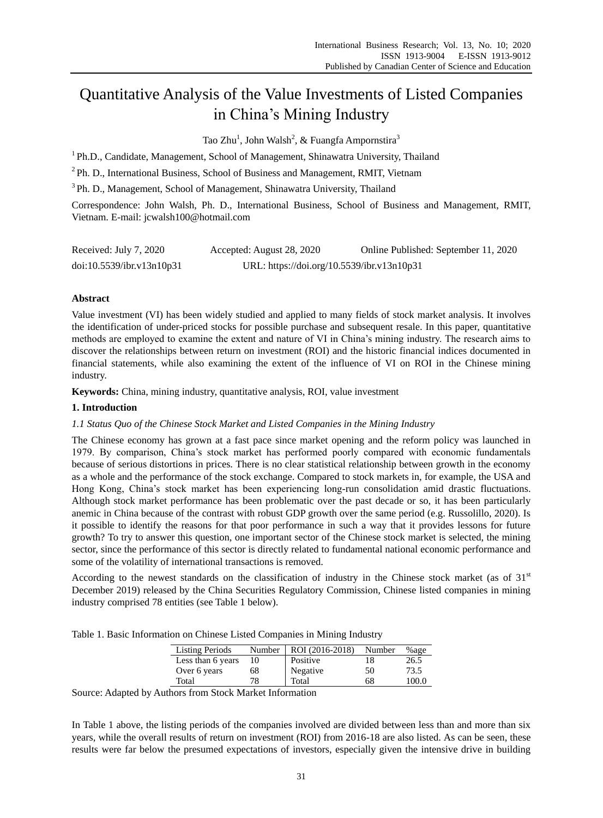# Quantitative Analysis of the Value Investments of Listed Companies in China's Mining Industry

Tao Zhu<sup>1</sup>, John Walsh<sup>2</sup>, & Fuangfa Ampornstira<sup>3</sup>

<sup>1</sup> Ph.D., Candidate, Management, School of Management, Shinawatra University, Thailand

<sup>2</sup>Ph. D., International Business, School of Business and Management, RMIT, Vietnam

<sup>3</sup>Ph. D., Management, School of Management, Shinawatra University, Thailand

Correspondence: John Walsh, Ph. D., International Business, School of Business and Management, RMIT, Vietnam. E-mail: jcwalsh100@hotmail.com

| Received: July 7, 2020    | Accepted: August 28, 2020                  | Online Published: September 11, 2020 |
|---------------------------|--------------------------------------------|--------------------------------------|
| doi:10.5539/ibr.v13n10p31 | URL: https://doi.org/10.5539/ibr.v13n10p31 |                                      |

# **Abstract**

Value investment (VI) has been widely studied and applied to many fields of stock market analysis. It involves the identification of under-priced stocks for possible purchase and subsequent resale. In this paper, quantitative methods are employed to examine the extent and nature of VI in China's mining industry. The research aims to discover the relationships between return on investment (ROI) and the historic financial indices documented in financial statements, while also examining the extent of the influence of VI on ROI in the Chinese mining industry.

**Keywords:** China, mining industry, quantitative analysis, ROI, value investment

## **1. Introduction**

## *1.1 Status Quo of the Chinese Stock Market and Listed Companies in the Mining Industry*

The Chinese economy has grown at a fast pace since market opening and the reform policy was launched in 1979. By comparison, China's stock market has performed poorly compared with economic fundamentals because of serious distortions in prices. There is no clear statistical relationship between growth in the economy as a whole and the performance of the stock exchange. Compared to stock markets in, for example, the USA and Hong Kong, China's stock market has been experiencing long-run consolidation amid drastic fluctuations. Although stock market performance has been problematic over the past decade or so, it has been particularly anemic in China because of the contrast with robust GDP growth over the same period (e.g. Russolillo, 2020). Is it possible to identify the reasons for that poor performance in such a way that it provides lessons for future growth? To try to answer this question, one important sector of the Chinese stock market is selected, the mining sector, since the performance of this sector is directly related to fundamental national economic performance and some of the volatility of international transactions is removed.

According to the newest standards on the classification of industry in the Chinese stock market (as of  $31<sup>st</sup>$ December 2019) released by the China Securities Regulatory Commission, Chinese listed companies in mining industry comprised 78 entities (see Table 1 below).

Table 1. Basic Information on Chinese Listed Companies in Mining Industry

| <b>Listing Periods</b> | Number | ROI (2016-2018) | Number | %age  |
|------------------------|--------|-----------------|--------|-------|
| Less than 6 years      |        | Positive        |        | 26.5  |
| Over 6 years           | 68     | Negative        | 50     | 73.5  |
| Total                  | 78     | Total           | 68     | 100.0 |

Source: Adapted by Authors from Stock Market Information

In Table 1 above, the listing periods of the companies involved are divided between less than and more than six years, while the overall results of return on investment (ROI) from 2016-18 are also listed. As can be seen, these results were far below the presumed expectations of investors, especially given the intensive drive in building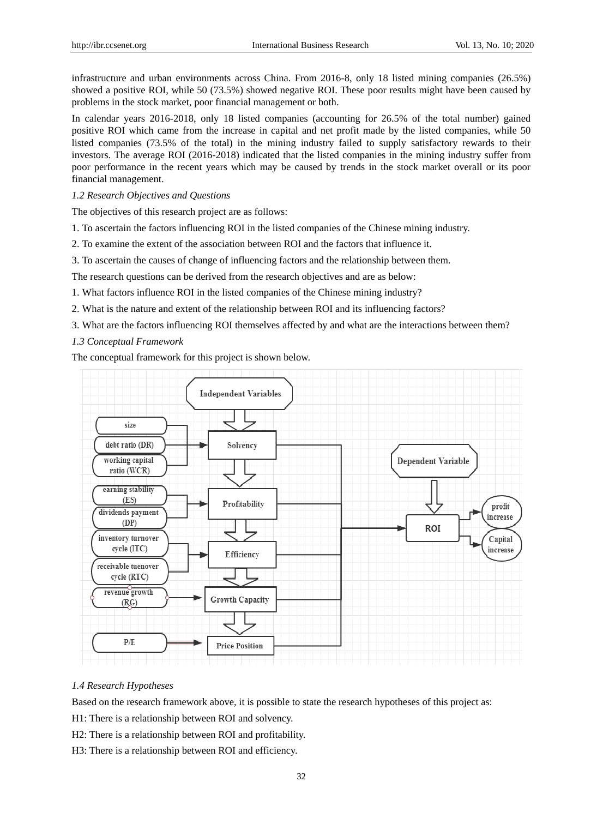infrastructure and urban environments across China. From 2016-8, only 18 listed mining companies (26.5%) showed a positive ROI, while 50 (73.5%) showed negative ROI. These poor results might have been caused by problems in the stock market, poor financial management or both.

In calendar years 2016-2018, only 18 listed companies (accounting for 26.5% of the total number) gained positive ROI which came from the increase in capital and net profit made by the listed companies, while 50 listed companies (73.5% of the total) in the mining industry failed to supply satisfactory rewards to their investors. The average ROI (2016-2018) indicated that the listed companies in the mining industry suffer from poor performance in the recent years which may be caused by trends in the stock market overall or its poor financial management.

## *1.2 Research Objectives and Questions*

The objectives of this research project are as follows:

- 1. To ascertain the factors influencing ROI in the listed companies of the Chinese mining industry.
- 2. To examine the extent of the association between ROI and the factors that influence it.
- 3. To ascertain the causes of change of influencing factors and the relationship between them.

The research questions can be derived from the research objectives and are as below:

- 1. What factors influence ROI in the listed companies of the Chinese mining industry?
- 2. What is the nature and extent of the relationship between ROI and its influencing factors?
- 3. What are the factors influencing ROI themselves affected by and what are the interactions between them?
- *1.3 Conceptual Framework*

The conceptual framework for this project is shown below.



# *1.4 Research Hypotheses*

Based on the research framework above, it is possible to state the research hypotheses of this project as:

H1: There is a relationship between ROI and solvency.

H2: There is a relationship between ROI and profitability.

H3: There is a relationship between ROI and efficiency.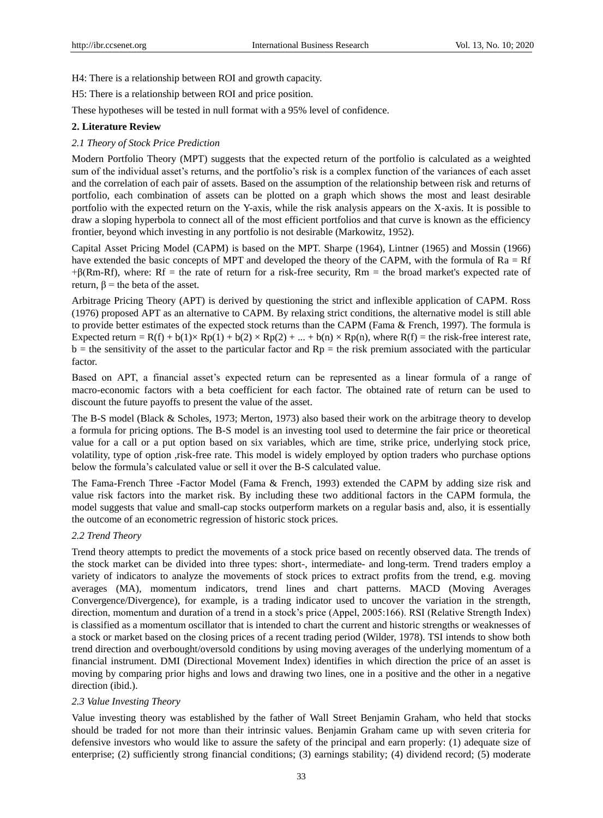H4: There is a relationship between ROI and growth capacity.

H5: There is a relationship between ROI and price position.

These hypotheses will be tested in null format with a 95% level of confidence.

## **2. Literature Review**

## *2.1 Theory of Stock Price Prediction*

Modern Portfolio Theory (MPT) suggests that the expected return of the portfolio is calculated as a weighted sum of the individual asset's returns, and the portfolio's risk is a complex function of the variances of each asset and the correlation of each pair of assets. Based on the assumption of the relationship between risk and returns of portfolio, each combination of assets can be plotted on a graph which shows the most and least desirable portfolio with the expected return on the Y-axis, while the risk analysis appears on the X-axis. It is possible to draw a sloping hyperbola to connect all of the most efficient portfolios and that curve is known as the efficiency frontier, beyond which investing in any portfolio is not desirable (Markowitz, 1952).

Capital Asset Pricing Model (CAPM) is based on the MPT. Sharpe (1964), Lintner (1965) and Mossin (1966) have extended the basic concepts of MPT and developed the theory of the CAPM, with the formula of Ra = Rf  $+\beta$ (Rm-Rf), where: Rf = the [rate of return](http://www.investinganswers.com/node/5875) for a risk-free security, Rm = the broad [market's](http://www.investinganswers.com/node/3609) expected rate of return,  $β =$  the [beta](http://www.investinganswers.com/node/1079) of the [asset.](http://www.investinganswers.com/node/2278)

Arbitrage Pricing Theory (APT) is derived by questioning the strict and inflexible application of CAPM. Ross (1976) proposed APT as an alternative to CAPM. By relaxing strict conditions, the alternative model is still able to provide better estimates of the expected stock returns than the CAPM (Fama & French, 1997). The formula is Expected return =  $R(f)$  +  $b(1) \times Rp(1)$  +  $b(2) \times Rp(2)$  + ... +  $b(n) \times Rp(n)$ , where  $R(f)$  = the risk-free interest rate,  $b =$  the sensitivity of the asset to the particular factor and  $Rp =$  the risk premium associated with the particular factor.

Based on APT, a financial asset's expected return can be represented as a linear formula of a range of macro-economic factors with a beta coefficient for each factor. The obtained rate of return can be used to discount the future payoffs to present the value of the asset.

The B-S model (Black & Scholes, 1973; Merton, 1973) also based their work on the arbitrage theory to develop a formula for pricing options. The B-S model is an investing tool used to determine the fair price or theoretical value for a call or a put option based on six variables, which are time, strike price, underlying stock price, volatility, type of option ,risk-free rate. This model is widely employed by option traders who purchase options below the formula's calculated value or sell it over the B-S calculated value.

The Fama-French Three -Factor Model (Fama & French, 1993) extended the CAPM by adding size risk and value risk factors into the market risk. By including these two additional factors in the CAPM formula, the model suggests that value and small-cap stocks outperform markets on a regular basis and, also, it is essentially the outcome of an econometric regression of historic stock prices.

#### *2.2 Trend Theory*

Trend theory attempts to predict the movements of a stock price based on recently observed data. The trends of the stock market can be divided into three types: short-, intermediate- and long-term. Trend traders employ a variety of indicators to analyze the movements of stock prices to extract profits from the trend, e.g. moving averages (MA), momentum indicators, trend lines and chart patterns. MACD (Moving Averages Convergence/Divergence), for example, is a trading indicator used to uncover the variation in the strength, direction, momentum and duration of a trend in a stock's price (Appel, 2005:166). RSI (Relative Strength Index) is classified as a momentum oscillator that is intended to chart the current and historic strengths or weaknesses of a stock or market based on the closing prices of a recent trading period (Wilder, 1978). TSI intends to show both trend direction and overbought/oversold conditions by using moving averages of the underlying momentum of a financial instrument. DMI (Directional Movement Index) identifies in which direction the price of an asset is moving by comparing prior highs and lows and drawing two lines, one in a positive and the other in a negative direction (ibid.).

# *2.3 Value Investing Theory*

Value investing theory was established by the father of Wall Street Benjamin Graham, who held that [stocks](https://www.investopedia.com/terms/s/stock.asp) should be traded for not more than their intrinsic values. Benjamin Graham came up with seven criteria for defensive investors who would like to assure the safety of the principal and earn properly: (1) adequate size of enterprise; (2) sufficiently strong financial conditions; (3) earnings stability; (4) dividend record; (5) moderate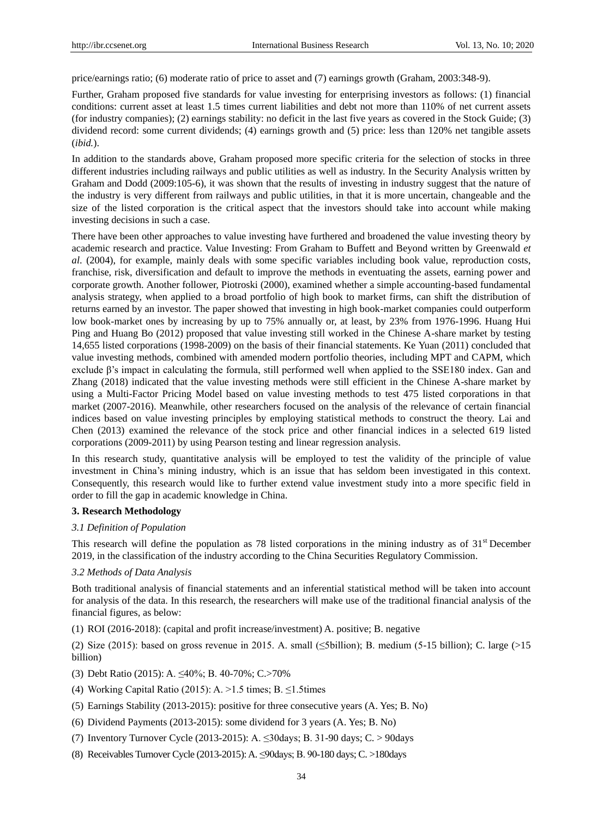price/earnings ratio; (6) moderate ratio of price to asset and (7) earnings growth (Graham, 2003:348-9).

Further, Graham proposed five standards for value investing for enterprising investors as follows: (1) financial conditions: current asset at least 1.5 times current liabilities and debt not more than 110% of net current assets (for industry companies); (2) earnings stability: no deficit in the last five years as covered in the Stock Guide; (3) dividend record: some current dividends; (4) earnings growth and (5) price: less than 120% net tangible assets (*ibid.*).

In addition to the standards above, Graham proposed more specific criteria for the selection of stocks in three different industries including railways and public utilities as well as industry. In the Security Analysis written by Graham and Dodd (2009:105-6), it was shown that the results of investing in industry suggest that the nature of the industry is very different from railways and public utilities, in that it is more uncertain, changeable and the size of the listed corporation is the critical aspect that the investors should take into account while making investing decisions in such a case.

There have been other approaches to value investing have furthered and broadened the value investing theory by academic research and practice. Value Investing: From Graham to Buffett and Beyond written by Greenwald *et al*. (2004), for example, mainly deals with some specific variables including book value, reproduction costs, franchise, risk, diversification and default to improve the methods in eventuating the assets, earning power and corporate growth. Another follower, Piotroski (2000), examined whether a simple accounting-based fundamental analysis strategy, when applied to a broad portfolio of high book to market firms, can shift the distribution of returns earned by an investor. The paper showed that investing in high book-market companies could outperform low book-market ones by increasing by up to 75% annually or, at least, by 23% from 1976-1996. Huang Hui Ping and Huang Bo (2012) proposed that value investing still worked in the Chinese A-share market by testing 14,655 listed corporations (1998-2009) on the basis of their financial statements. Ke Yuan (2011) concluded that value investing methods, combined with amended modern portfolio theories, including MPT and CAPM, which exclude β's impact in calculating the formula, still performed well when applied to the SSE180 index. Gan and Zhang (2018) indicated that the value investing methods were still efficient in the Chinese A-share market by using a Multi-Factor Pricing Model based on value investing methods to test 475 listed corporations in that market (2007-2016). Meanwhile, other researchers focused on the analysis of the relevance of certain financial indices based on value investing principles by employing statistical methods to construct the theory. Lai and Chen (2013) examined the relevance of the stock price and other financial indices in a selected 619 listed corporations (2009-2011) by using Pearson testing and linear regression analysis.

In this research study, quantitative analysis will be employed to test the validity of the principle of value investment in China's mining industry, which is an issue that has seldom been investigated in this context. Consequently, this research would like to further extend value investment study into a more specific field in order to fill the gap in academic knowledge in China.

#### **3. Research Methodology**

## *3.1 Definition of Population*

This research will define the population as 78 listed corporations in the mining industry as of  $31<sup>st</sup>$  December 2019, in the classification of the industry according to the China Securities Regulatory Commission.

#### *3.2 Methods of Data Analysis*

Both traditional analysis of financial statements and an inferential statistical method will be taken into account for analysis of the data. In this research, the researchers will make use of the traditional financial analysis of the financial figures, as below:

(1) ROI (2016-2018): (capital and profit increase/investment) A. positive; B. negative

(2) Size (2015): based on gross revenue in 2015. A. small (≤5billion); B. medium (5-15 billion); C. large (>15 billion)

- (3) Debt Ratio (2015): A. ≤40%; B. 40-70%; C.>70%
- (4) Working Capital Ratio (2015): A. >1.5 times; B.  $\leq$ 1.5 times
- (5) Earnings Stability (2013-2015): positive for three consecutive years (A. Yes; B. No)
- (6) Dividend Payments (2013-2015): some dividend for 3 years (A. Yes; B. No)
- (7) Inventory Turnover Cycle (2013-2015): A. ≤30days; B. 31-90 days; C. > 90days
- (8) Receivables Turnover Cycle (2013-2015): A. ≤90days; B. 90-180 days; C. >180days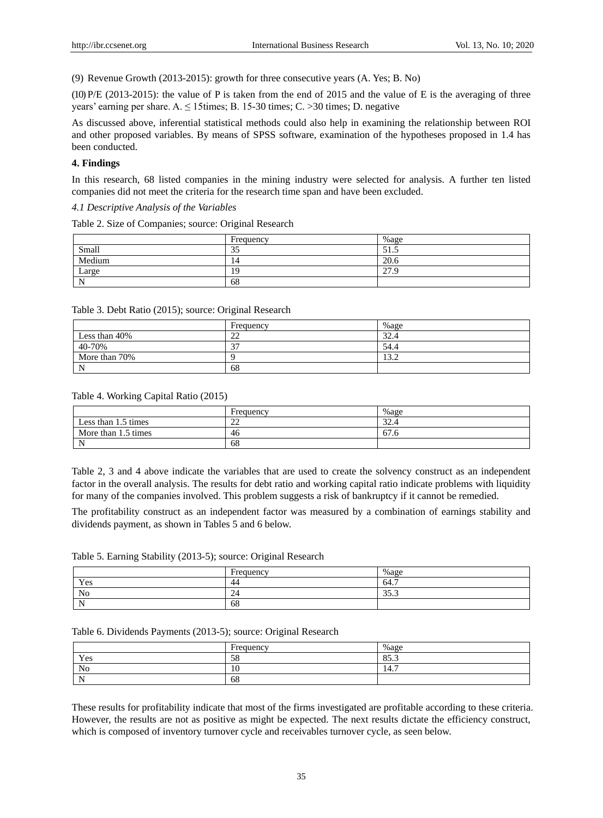(9) Revenue Growth (2013-2015): growth for three consecutive years (A. Yes; B. No)

(10) P/E (2013-2015): the value of P is taken from the end of 2015 and the value of E is the averaging of three years' earning per share. A.  $\leq 15$  times; B. 15-30 times; C. > 30 times; D. negative

As discussed above, inferential statistical methods could also help in examining the relationship between ROI and other proposed variables. By means of SPSS software, examination of the hypotheses proposed in 1.4 has been conducted.

## **4. Findings**

In this research, 68 listed companies in the mining industry were selected for analysis. A further ten listed companies did not meet the criteria for the research time span and have been excluded.

*4.1 Descriptive Analysis of the Variables* 

Table 2. Size of Companies; source: Original Research

|        | Frequency | $%$ age         |
|--------|-----------|-----------------|
| Small  | 35        | 51<br>ر. . ر    |
| Medium | 14        | 20.6            |
| Large  | 19        | 27.<br>$\Omega$ |
| N      | 68        |                 |

|  |  | Table 3. Debt Ratio (2015); source: Original Research |  |  |
|--|--|-------------------------------------------------------|--|--|
|--|--|-------------------------------------------------------|--|--|

|               | Frequency | $%$ age |
|---------------|-----------|---------|
| Less than 40% | າາ<br>∠∠  | 32.4    |
| 40-70%        | 37        | 54.4    |
| More than 70% |           | 13.2    |
| N             | 68        |         |

## Table 4. Working Capital Ratio (2015)

|                     | Frequency    | $%$ age |
|---------------------|--------------|---------|
| Less than 1.5 times | $\cap$<br>∠∠ | 32.4    |
| More than 1.5 times | 46           | 67.6    |
| N                   | 68           |         |

Table 2, 3 and 4 above indicate the variables that are used to create the solvency construct as an independent factor in the overall analysis. The results for debt ratio and working capital ratio indicate problems with liquidity for many of the companies involved. This problem suggests a risk of bankruptcy if it cannot be remedied.

The profitability construct as an independent factor was measured by a combination of earnings stability and dividends payment, as shown in Tables 5 and 6 below.

Table 5. Earning Stability (2013-5); source: Original Research

|          | $\blacksquare$<br>Frequency | $%$ age                    |
|----------|-----------------------------|----------------------------|
| Yes      | -44                         | -<br>64.                   |
| No       | -<br>-4                     | $\sim$ $\sim$<br>-<br>JJ.J |
| N<br>. . | 68                          |                            |

#### Table 6. Dividends Payments (2013-5); source: Original Research

|                | Frequency | $%$ age               |
|----------------|-----------|-----------------------|
| Yes            | 58        | $OC$ $\Omega$<br>89.J |
| N <sub>o</sub> | ٠<br>10   | -<br>-4<br>14. .      |
| N              | 68        |                       |

These results for profitability indicate that most of the firms investigated are profitable according to these criteria. However, the results are not as positive as might be expected. The next results dictate the efficiency construct, which is composed of inventory turnover cycle and receivables turnover cycle, as seen below.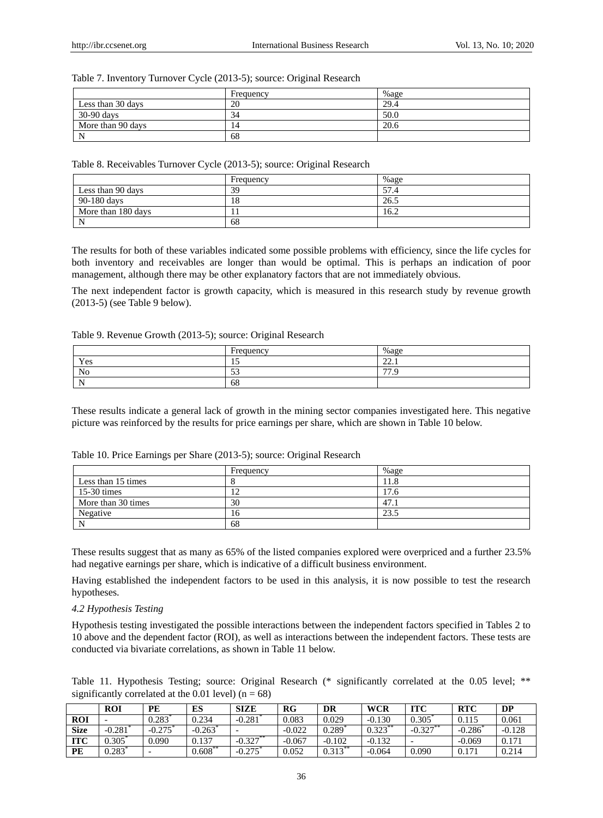## Table 7. Inventory Turnover Cycle (2013-5); source: Original Research

|                   | Frequency | $%$ age |
|-------------------|-----------|---------|
| Less than 30 days | 20        | 29.4    |
| 30-90 days        | 34        | 50.0    |
| More than 90 days | 14        | 20.6    |
| N                 | 68        |         |

Table 8. Receivables Turnover Cycle (2013-5); source: Original Research

|                    | Frequency | %age |
|--------------------|-----------|------|
| Less than 90 days  | 39        | 57.4 |
| 90-180 days        | 18        | 26.5 |
| More than 180 days |           | 16.2 |
| N                  | 68        |      |

The results for both of these variables indicated some possible problems with efficiency, since the life cycles for both inventory and receivables are longer than would be optimal. This is perhaps an indication of poor management, although there may be other explanatory factors that are not immediately obvious.

The next independent factor is growth capacity, which is measured in this research study by revenue growth (2013-5) (see Table 9 below).

#### Table 9. Revenue Growth (2013-5); source: Original Research

|                | $\blacksquare$<br>Frequency | $%$ age        |
|----------------|-----------------------------|----------------|
| Yes            | <b>IJ</b>                   | $\sim$<br>.    |
| N <sub>0</sub> | $\sim$<br>ر ر               | $\overline{a}$ |
| N<br>. .       | 68                          |                |

These results indicate a general lack of growth in the mining sector companies investigated here. This negative picture was reinforced by the results for price earnings per share, which are shown in Table 10 below.

|                    | Frequency | %age |
|--------------------|-----------|------|
| Less than 15 times |           | 1.8  |
| $15-30$ times      | 12        | 17.6 |
| More than 30 times | 30        | 47.1 |
| Negative           | 16        | 23.5 |
|                    | 68        |      |

Table 10. Price Earnings per Share (2013-5); source: Original Research

These results suggest that as many as 65% of the listed companies explored were overpriced and a further 23.5% had negative earnings per share, which is indicative of a difficult business environment.

Having established the independent factors to be used in this analysis, it is now possible to test the research hypotheses.

# *4.2 Hypothesis Testing*

Hypothesis testing investigated the possible interactions between the independent factors specified in Tables 2 to 10 above and the dependent factor (ROI), as well as interactions between the independent factors. These tests are conducted via bivariate correlations, as shown in Table 11 below.

Table 11. Hypothesis Testing; source: Original Research (\* significantly correlated at the 0.05 level; \*\* significantly correlated at the 0.01 level)  $(n = 68)$ 

|             | <b>ROI</b> | PE       | ES         | <b>SIZE</b> | R G      | DR                    | <b>WCR</b> | <b>ITC</b> | <b>RTC</b>     | DP       |
|-------------|------------|----------|------------|-------------|----------|-----------------------|------------|------------|----------------|----------|
| <b>ROI</b>  |            | 0.283    | 0.234      | $-0.281$    | 0.083    | 0.029                 | $-0.130$   | 0.305      | 0.115          | 0.061    |
| <b>Size</b> | $-0.281$   | $-0.275$ | $-0.263$   |             | $-0.022$ | 0.289                 | $0.323$ ** | $-0.327$   | $-0.286$       | $-0.128$ |
| <b>ITC</b>  | 0.305      | 0.090    | 0.137      | $-0.327$ ** | $-0.067$ | $-0.102$              | $-0.132$   |            | $-0.069$       | 0.171    |
| <b>PE</b>   | 0.283      | -        | $0.608$ ** | $-0.275$    | 0.052    | $0.313$ <sup>**</sup> | $-0.064$   | 0.090      | $0.17^{\circ}$ | 0.214    |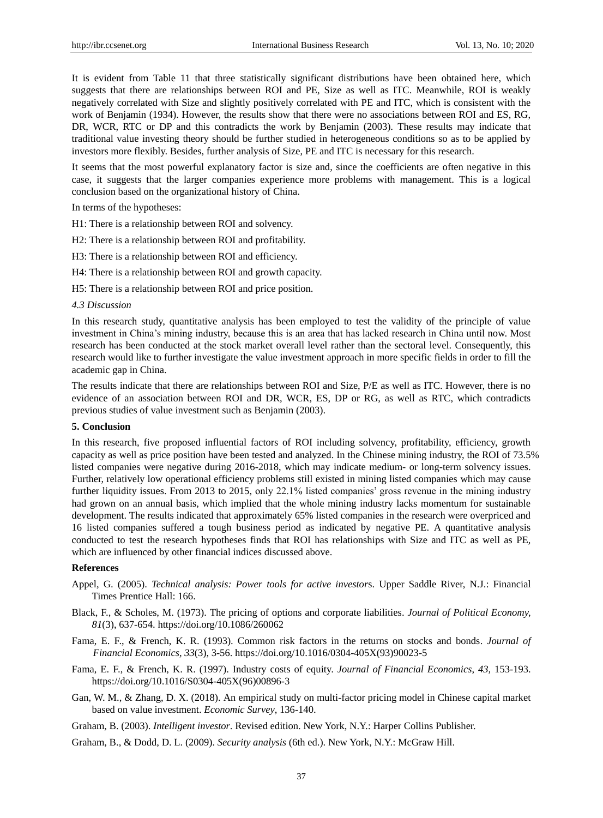It is evident from Table 11 that three statistically significant distributions have been obtained here, which suggests that there are relationships between ROI and PE, Size as well as ITC. Meanwhile, ROI is weakly negatively correlated with Size and slightly positively correlated with PE and ITC, which is consistent with the work of Benjamin (1934). However, the results show that there were no associations between ROI and ES, RG, DR, WCR, RTC or DP and this contradicts the work by Benjamin (2003). These results may indicate that traditional value investing theory should be further studied in heterogeneous conditions so as to be applied by investors more flexibly. Besides, further analysis of Size, PE and ITC is necessary for this research.

It seems that the most powerful explanatory factor is size and, since the coefficients are often negative in this case, it suggests that the larger companies experience more problems with management. This is a logical conclusion based on the organizational history of China.

In terms of the hypotheses:

H1: There is a relationship between ROI and solvency.

H2: There is a relationship between ROI and profitability.

H3: There is a relationship between ROI and efficiency.

H4: There is a relationship between ROI and growth capacity.

H5: There is a relationship between ROI and price position.

#### *4.3 Discussion*

In this research study, quantitative analysis has been employed to test the validity of the principle of value investment in China's mining industry, because this is an area that has lacked research in China until now. Most research has been conducted at the stock market overall level rather than the sectoral level. Consequently, this research would like to further investigate the value investment approach in more specific fields in order to fill the academic gap in China.

The results indicate that there are relationships between ROI and Size, P/E as well as ITC. However, there is no evidence of an association between ROI and DR, WCR, ES, DP or RG, as well as RTC, which contradicts previous studies of value investment such as Benjamin (2003).

## **5. Conclusion**

In this research, five proposed influential factors of ROI including solvency, profitability, efficiency, growth capacity as well as price position have been tested and analyzed. In the Chinese mining industry, the ROI of 73.5% listed companies were negative during 2016-2018, which may indicate medium- or long-term solvency issues. Further, relatively low operational efficiency problems still existed in mining listed companies which may cause further liquidity issues. From 2013 to 2015, only 22.1% listed companies' gross revenue in the mining industry had grown on an annual basis, which implied that the whole mining industry lacks momentum for sustainable development. The results indicated that approximately 65% listed companies in the research were overpriced and 16 listed companies suffered a tough business period as indicated by negative PE. A quantitative analysis conducted to test the research hypotheses finds that ROI has relationships with Size and ITC as well as PE, which are influenced by other financial indices discussed above.

## **References**

- Appel, G. (2005). *Technical analysis: Power tools for active investor*s. Upper Saddle River, N.J.: Financial Times Prentice Hall: 166.
- Black, F., & Scholes, M. (1973). The pricing of options and corporate liabilities. *Journal of Political Economy, 81*(3), 637-654. https://doi.org/10.1086/260062
- [Fama, E.](https://en.wikipedia.org/wiki/Eugene_Fama) F., & [French, K.](https://en.wikipedia.org/wiki/Kenneth_French) R. (1993). Common risk factors in the returns on stocks and bonds. *[Journal of](https://en.wikipedia.org/wiki/Journal_of_Financial_Economics)  [Financial Economics,](https://en.wikipedia.org/wiki/Journal_of_Financial_Economics) 33*(3), 3-56. https://doi.org/10.1016/0304-405X(93)90023-5
- Fama, E. F., & French, K. R. (1997). Industry costs of equity. *Journal of Financial Economics*, *43,* 153-193. https://doi.org/10.1016/S0304-405X(96)00896-3
- Gan, W. M., & Zhang, D. X. (2018). An empirical study on multi-factor pricing model in Chinese capital market based on value investment. *Economic Survey*, 136-140.
- Graham, B. (2003). *Intelligent investor*. Revised edition. New York, N.Y.: Harper Collins Publisher.
- Graham, B., & Dodd, D. L. (2009). *Security analysis* (6th ed.). New York, N.Y.: McGraw Hill.